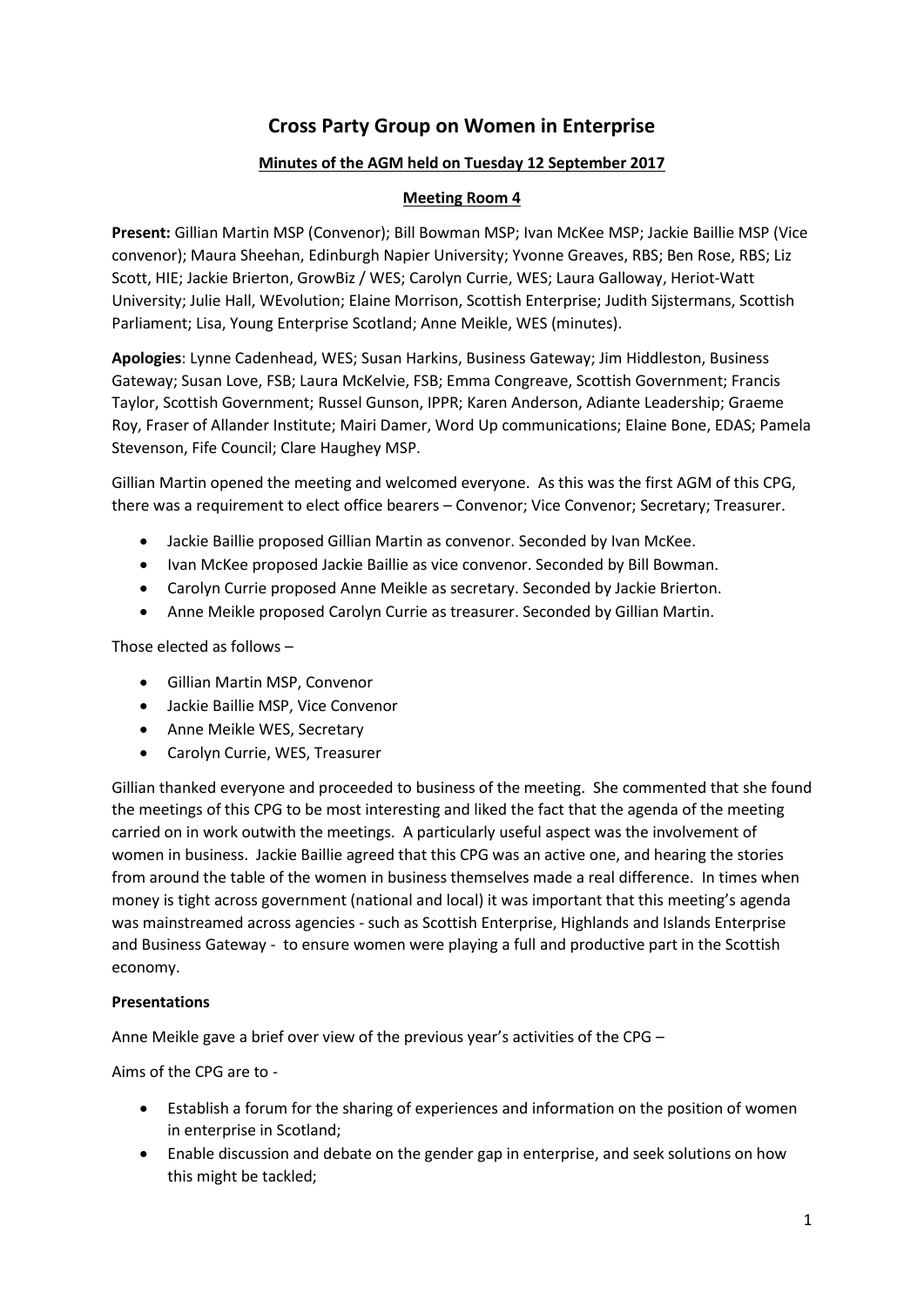# **Cross Party Group on Women in Enterprise**

## **Minutes of the AGM held on Tuesday 12 September 2017**

### **Meeting Room 4**

**Present:** Gillian Martin MSP (Convenor); Bill Bowman MSP; Ivan McKee MSP; Jackie Baillie MSP (Vice convenor); Maura Sheehan, Edinburgh Napier University; Yvonne Greaves, RBS; Ben Rose, RBS; Liz Scott, HIE; Jackie Brierton, GrowBiz / WES; Carolyn Currie, WES; Laura Galloway, Heriot-Watt University; Julie Hall, WEvolution; Elaine Morrison, Scottish Enterprise; Judith Sijstermans, Scottish Parliament; Lisa, Young Enterprise Scotland; Anne Meikle, WES (minutes).

**Apologies**: Lynne Cadenhead, WES; Susan Harkins, Business Gateway; Jim Hiddleston, Business Gateway; Susan Love, FSB; Laura McKelvie, FSB; Emma Congreave, Scottish Government; Francis Taylor, Scottish Government; Russel Gunson, IPPR; Karen Anderson, Adiante Leadership; Graeme Roy, Fraser of Allander Institute; Mairi Damer, Word Up communications; Elaine Bone, EDAS; Pamela Stevenson, Fife Council; Clare Haughey MSP.

Gillian Martin opened the meeting and welcomed everyone. As this was the first AGM of this CPG, there was a requirement to elect office bearers – Convenor; Vice Convenor; Secretary; Treasurer.

- Jackie Baillie proposed Gillian Martin as convenor. Seconded by Ivan McKee.
- Ivan McKee proposed Jackie Baillie as vice convenor. Seconded by Bill Bowman.
- Carolyn Currie proposed Anne Meikle as secretary. Seconded by Jackie Brierton.
- Anne Meikle proposed Carolyn Currie as treasurer. Seconded by Gillian Martin.

Those elected as follows –

- Gillian Martin MSP, Convenor
- Jackie Baillie MSP, Vice Convenor
- Anne Meikle WES, Secretary
- Carolyn Currie, WES, Treasurer

Gillian thanked everyone and proceeded to business of the meeting. She commented that she found the meetings of this CPG to be most interesting and liked the fact that the agenda of the meeting carried on in work outwith the meetings. A particularly useful aspect was the involvement of women in business. Jackie Baillie agreed that this CPG was an active one, and hearing the stories from around the table of the women in business themselves made a real difference. In times when money is tight across government (national and local) it was important that this meeting's agenda was mainstreamed across agencies - such as Scottish Enterprise, Highlands and Islands Enterprise and Business Gateway - to ensure women were playing a full and productive part in the Scottish economy.

#### **Presentations**

Anne Meikle gave a brief over view of the previous year's activities of the CPG –

Aims of the CPG are to -

- Establish a forum for the sharing of experiences and information on the position of women in enterprise in Scotland;
- Enable discussion and debate on the gender gap in enterprise, and seek solutions on how this might be tackled;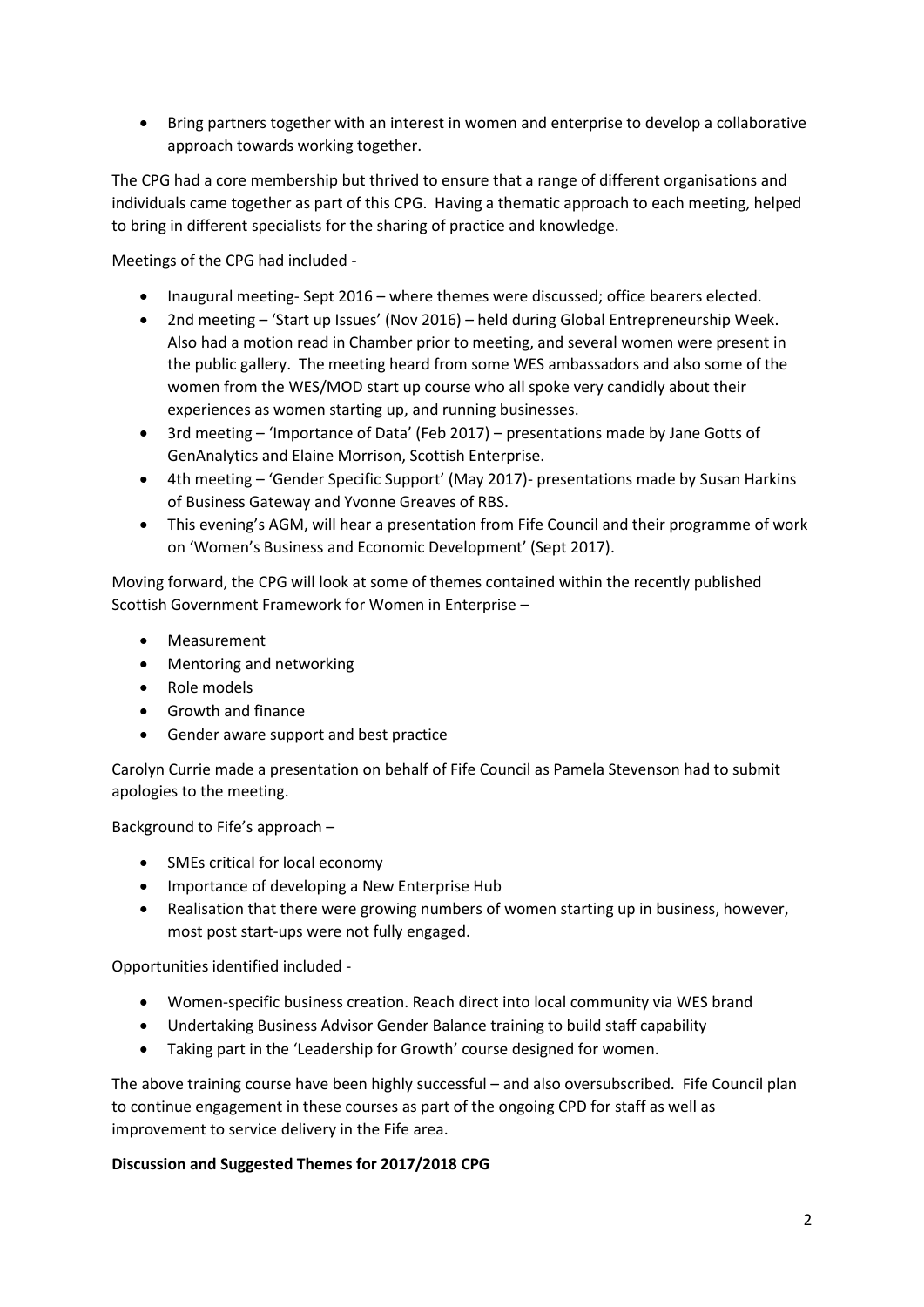Bring partners together with an interest in women and enterprise to develop a collaborative approach towards working together.

The CPG had a core membership but thrived to ensure that a range of different organisations and individuals came together as part of this CPG. Having a thematic approach to each meeting, helped to bring in different specialists for the sharing of practice and knowledge.

Meetings of the CPG had included -

- Inaugural meeting- Sept 2016 where themes were discussed; office bearers elected.
- 2nd meeting 'Start up Issues' (Nov 2016) held during Global Entrepreneurship Week. Also had a motion read in Chamber prior to meeting, and several women were present in the public gallery. The meeting heard from some WES ambassadors and also some of the women from the WES/MOD start up course who all spoke very candidly about their experiences as women starting up, and running businesses.
- 3rd meeting 'Importance of Data' (Feb 2017) presentations made by Jane Gotts of GenAnalytics and Elaine Morrison, Scottish Enterprise.
- 4th meeting 'Gender Specific Support' (May 2017)- presentations made by Susan Harkins of Business Gateway and Yvonne Greaves of RBS.
- This evening's AGM, will hear a presentation from Fife Council and their programme of work on 'Women's Business and Economic Development' (Sept 2017).

Moving forward, the CPG will look at some of themes contained within the recently published Scottish Government Framework for Women in Enterprise –

- Measurement
- Mentoring and networking
- Role models
- Growth and finance
- Gender aware support and best practice

Carolyn Currie made a presentation on behalf of Fife Council as Pamela Stevenson had to submit apologies to the meeting.

Background to Fife's approach –

- SMEs critical for local economy
- Importance of developing a New Enterprise Hub
- Realisation that there were growing numbers of women starting up in business, however, most post start-ups were not fully engaged.

Opportunities identified included -

- Women-specific business creation. Reach direct into local community via WES brand
- Undertaking Business Advisor Gender Balance training to build staff capability
- Taking part in the 'Leadership for Growth' course designed for women.

The above training course have been highly successful – and also oversubscribed. Fife Council plan to continue engagement in these courses as part of the ongoing CPD for staff as well as improvement to service delivery in the Fife area.

# **Discussion and Suggested Themes for 2017/2018 CPG**